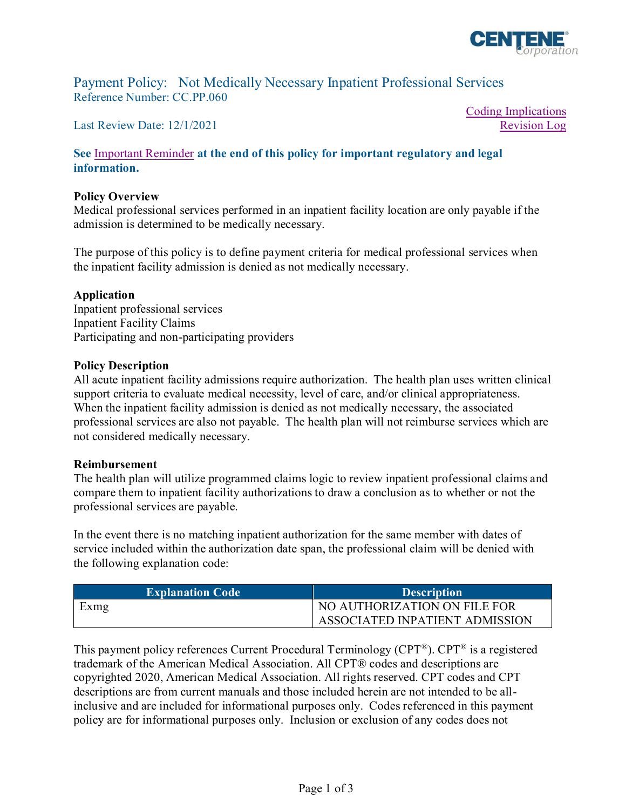

Coding Implications

[Revision Log](#page-1-0)

Payment Policy: Not Medically Necessary Inpatient Professional Services Reference Number: CC.PP.060

Last Review Date: 12/1/2021

**See** [Important Reminder](#page-1-0) **at the end of this policy for important regulatory and legal information.**

## **Policy Overview**

Medical professional services performed in an inpatient facility location are only payable if the admission is determined to be medically necessary.

The purpose of this policy is to define payment criteria for medical professional services when the inpatient facility admission is denied as not medically necessary.

## **Application**

Inpatient professional services Inpatient Facility Claims Participating and non-participating providers

## **Policy Description**

All acute inpatient facility admissions require authorization. The health plan uses written clinical support criteria to evaluate medical necessity, level of care, and/or clinical appropriateness. When the inpatient facility admission is denied as not medically necessary, the associated professional services are also not payable. The health plan will not reimburse services which are not considered medically necessary.

## **Reimbursement**

The health plan will utilize programmed claims logic to review inpatient professional claims and compare them to inpatient facility authorizations to draw a conclusion as to whether or not the professional services are payable.

In the event there is no matching inpatient authorization for the same member with dates of service included within the authorization date span, the professional claim will be denied with the following explanation code:

| <b>Explanation Code</b> | <b>Description</b>             |
|-------------------------|--------------------------------|
| <b>Exmg</b>             | NO AUTHORIZATION ON FILE FOR   |
|                         | ASSOCIATED INPATIENT ADMISSION |

This payment policy references Current Procedural Terminology (CPT®). CPT® is a registered trademark of the American Medical Association. All CPT® codes and descriptions are copyrighted 2020, American Medical Association. All rights reserved. CPT codes and CPT descriptions are from current manuals and those included herein are not intended to be allinclusive and are included for informational purposes only. Codes referenced in this payment policy are for informational purposes only. Inclusion or exclusion of any codes does not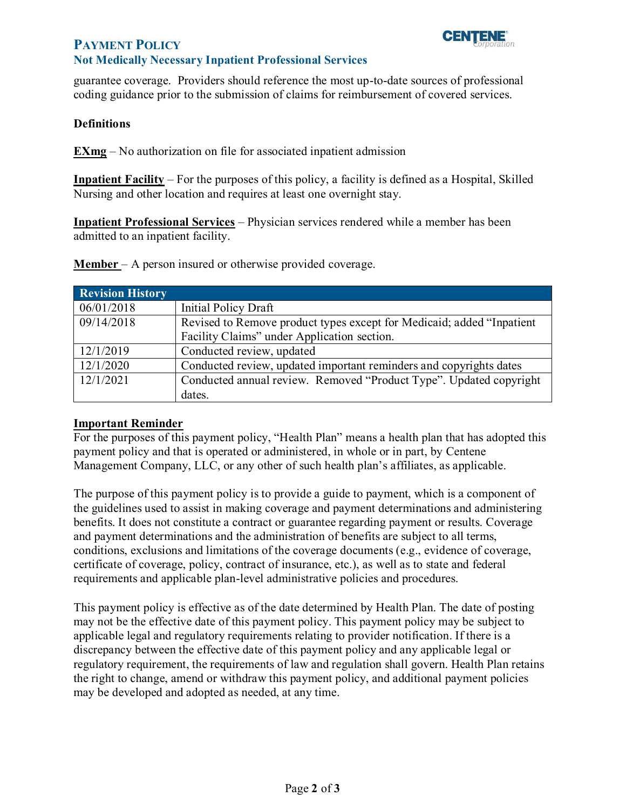# <span id="page-1-0"></span>**PAYMENT POLICY**

# **Not Medically Necessary Inpatient Professional Services**

guarantee coverage. Providers should reference the most up-to-date sources of professional coding guidance prior to the submission of claims for reimbursement of covered services.

# **Definitions**

**EXmg** – No authorization on file for associated inpatient admission

**Inpatient Facility** – For the purposes of this policy, a facility is defined as a Hospital, Skilled Nursing and other location and requires at least one overnight stay.

**Inpatient Professional Services** – Physician services rendered while a member has been admitted to an inpatient facility.

**Member** – A person insured or otherwise provided coverage.

| <b>Revision History</b> |                                                                        |
|-------------------------|------------------------------------------------------------------------|
| 06/01/2018              | Initial Policy Draft                                                   |
| 09/14/2018              | Revised to Remove product types except for Medicaid; added "Inpatient" |
|                         | Facility Claims" under Application section.                            |
| 12/1/2019               | Conducted review, updated                                              |
| 12/1/2020               | Conducted review, updated important reminders and copyrights dates     |
| 12/1/2021               | Conducted annual review. Removed "Product Type". Updated copyright     |
|                         | dates.                                                                 |

# **Important Reminder**

For the purposes of this payment policy, "Health Plan" means a health plan that has adopted this payment policy and that is operated or administered, in whole or in part, by Centene Management Company, LLC, or any other of such health plan's affiliates, as applicable.

The purpose of this payment policy is to provide a guide to payment, which is a component of the guidelines used to assist in making coverage and payment determinations and administering benefits. It does not constitute a contract or guarantee regarding payment or results. Coverage and payment determinations and the administration of benefits are subject to all terms, conditions, exclusions and limitations of the coverage documents (e.g., evidence of coverage, certificate of coverage, policy, contract of insurance, etc.), as well as to state and federal requirements and applicable plan-level administrative policies and procedures.

This payment policy is effective as of the date determined by Health Plan. The date of posting may not be the effective date of this payment policy. This payment policy may be subject to applicable legal and regulatory requirements relating to provider notification. If there is a discrepancy between the effective date of this payment policy and any applicable legal or regulatory requirement, the requirements of law and regulation shall govern. Health Plan retains the right to change, amend or withdraw this payment policy, and additional payment policies may be developed and adopted as needed, at any time.